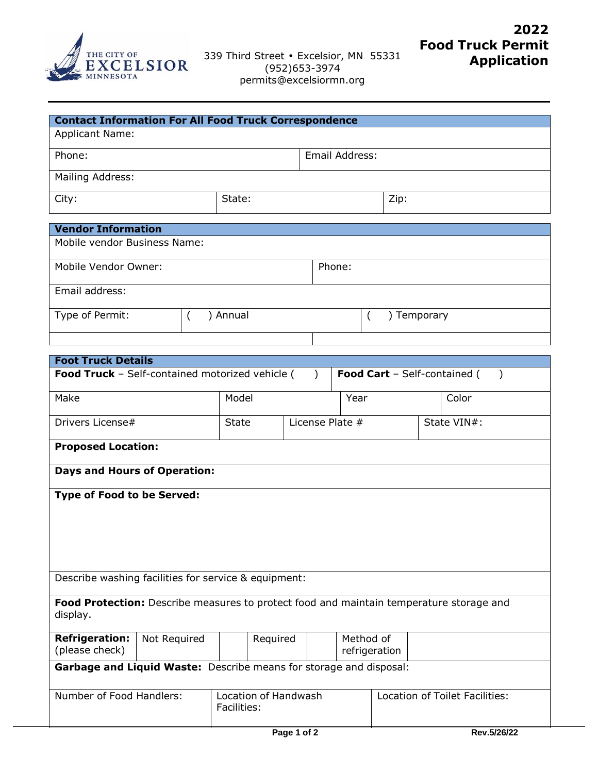

| <b>Contact Information For All Food Truck Correspondence</b> |        |                |             |  |  |  |  |
|--------------------------------------------------------------|--------|----------------|-------------|--|--|--|--|
| <b>Applicant Name:</b>                                       |        |                |             |  |  |  |  |
| Phone:                                                       |        | Email Address: |             |  |  |  |  |
| Mailing Address:                                             |        |                |             |  |  |  |  |
| City:                                                        | State: |                | Zip:        |  |  |  |  |
|                                                              |        |                |             |  |  |  |  |
| <b>Vendor Information</b>                                    |        |                |             |  |  |  |  |
| Mobile vendor Business Name:                                 |        |                |             |  |  |  |  |
| Mobile Vendor Owner:                                         |        | Phone:         |             |  |  |  |  |
| Email address:                                               |        |                |             |  |  |  |  |
| Type of Permit:                                              | Annual |                | ) Temporary |  |  |  |  |
|                                                              |        |                |             |  |  |  |  |

| <b>Foot Truck Details</b>                                                                           |              |                                            |             |                            |             |                                |  |  |
|-----------------------------------------------------------------------------------------------------|--------------|--------------------------------------------|-------------|----------------------------|-------------|--------------------------------|--|--|
| Food Truck - Self-contained motorized vehicle (<br><b>Food Cart</b> - Self-contained (              |              |                                            |             |                            |             |                                |  |  |
| Make                                                                                                |              | Model                                      |             | Year                       |             | Color                          |  |  |
| Drivers License#                                                                                    |              | License Plate #<br><b>State</b>            |             |                            | State VIN#: |                                |  |  |
| <b>Proposed Location:</b>                                                                           |              |                                            |             |                            |             |                                |  |  |
| <b>Days and Hours of Operation:</b>                                                                 |              |                                            |             |                            |             |                                |  |  |
| <b>Type of Food to be Served:</b>                                                                   |              |                                            |             |                            |             |                                |  |  |
|                                                                                                     |              |                                            |             |                            |             |                                |  |  |
|                                                                                                     |              |                                            |             |                            |             |                                |  |  |
| Describe washing facilities for service & equipment:                                                |              |                                            |             |                            |             |                                |  |  |
|                                                                                                     |              |                                            |             |                            |             |                                |  |  |
| Food Protection: Describe measures to protect food and maintain temperature storage and<br>display. |              |                                            |             |                            |             |                                |  |  |
| <b>Refrigeration:</b><br>(please check)                                                             | Not Required | Required                                   |             | Method of<br>refrigeration |             |                                |  |  |
| Garbage and Liquid Waste: Describe means for storage and disposal:                                  |              |                                            |             |                            |             |                                |  |  |
| Number of Food Handlers:                                                                            |              | <b>Location of Handwash</b><br>Facilities: |             |                            |             | Location of Toilet Facilities: |  |  |
|                                                                                                     |              |                                            | Page 1 of 2 |                            |             | Rev.5/26/22                    |  |  |